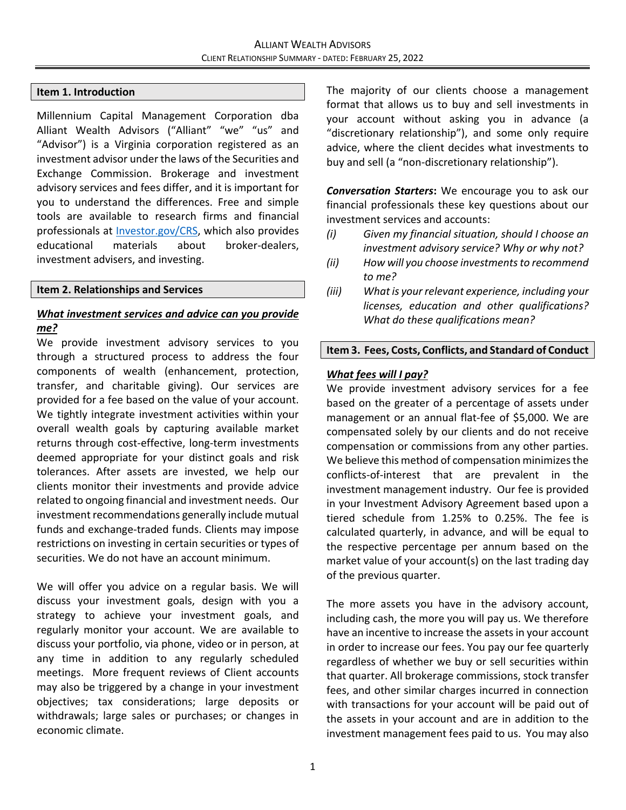#### **Item 1. Introduction**

Millennium Capital Management Corporation dba Alliant Wealth Advisors ("Alliant" "we" "us" and "Advisor") is a Virginia corporation registered as an investment advisor under the laws of the Securities and Exchange Commission. Brokerage and investment advisory services and fees differ, and it is important for you to understand the differences. Free and simple tools are available to research firms and financial professionals at [Investor.gov/CRS,](https://www.investor.gov/CRS) which also provides educational materials about broker-dealers, investment advisers, and investing.

#### **Item 2. Relationships and Services**

## *What investment services and advice can you provide me?*

We provide investment advisory services to you through a structured process to address the four components of wealth (enhancement, protection, transfer, and charitable giving). Our services are provided for a fee based on the value of your account. We tightly integrate investment activities within your overall wealth goals by capturing available market returns through cost-effective, long-term investments deemed appropriate for your distinct goals and risk tolerances. After assets are invested, we help our clients monitor their investments and provide advice related to ongoing financial and investment needs. Our investment recommendations generally include mutual funds and exchange-traded funds. Clients may impose restrictions on investing in certain securities or types of securities. We do not have an account minimum.

We will offer you advice on a regular basis. We will discuss your investment goals, design with you a strategy to achieve your investment goals, and regularly monitor your account. We are available to discuss your portfolio, via phone, video or in person, at any time in addition to any regularly scheduled meetings. More frequent reviews of Client accounts may also be triggered by a change in your investment objectives; tax considerations; large deposits or withdrawals; large sales or purchases; or changes in economic climate.

The majority of our clients choose a management format that allows us to buy and sell investments in your account without asking you in advance (a "discretionary relationship"), and some only require advice, where the client decides what investments to buy and sell (a "non‐discretionary relationship").

*Conversation Starters***:** We encourage you to ask our financial professionals these key questions about our investment services and accounts:

- *(i) Given my financial situation, should I choose an investment advisory service? Why or why not?*
- *(ii) How will you choose investments to recommend to me?*
- *(iii) What is your relevant experience, including your licenses, education and other qualifications? What do these qualifications mean?*

#### **Item 3. Fees, Costs, Conflicts, and Standard of Conduct**

### *What fees will I pay?*

We provide investment advisory services for a fee based on the greater of a percentage of assets under management or an annual flat-fee of \$5,000. We are compensated solely by our clients and do not receive compensation or commissions from any other parties. We believe this method of compensation minimizes the conflicts-of-interest that are prevalent in the investment management industry. Our fee is provided in your Investment Advisory Agreement based upon a tiered schedule from 1.25% to 0.25%. The fee is calculated quarterly, in advance, and will be equal to the respective percentage per annum based on the market value of your account(s) on the last trading day of the previous quarter.

The more assets you have in the advisory account, including cash, the more you will pay us. We therefore have an incentive to increase the assets in your account in order to increase our fees. You pay our fee quarterly regardless of whether we buy or sell securities within that quarter. All brokerage commissions, stock transfer fees, and other similar charges incurred in connection with transactions for your account will be paid out of the assets in your account and are in addition to the investment management fees paid to us. You may also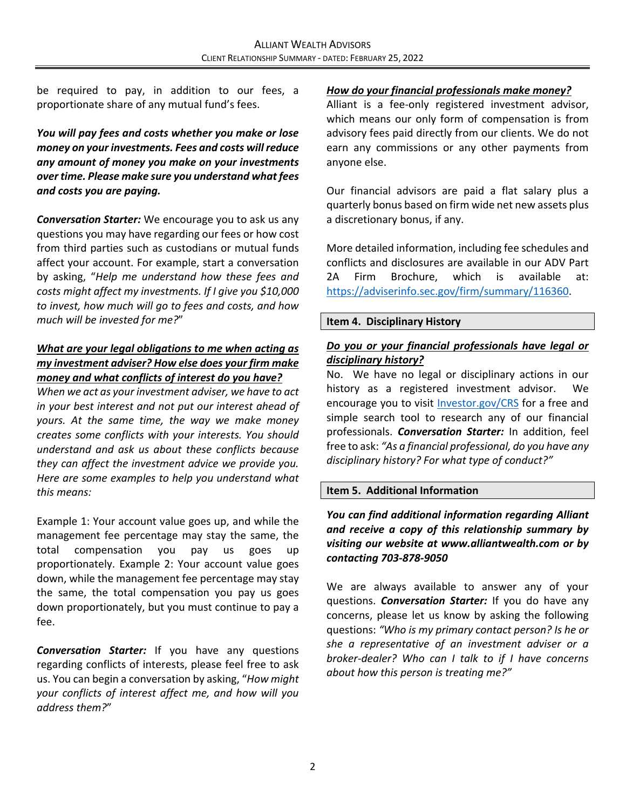be required to pay, in addition to our fees, a proportionate share of any mutual fund's fees.

*You will pay fees and costs whether you make or lose money on your investments. Fees and costs will reduce any amount of money you make on your investments over time. Please make sure you understand what fees and costs you are paying.*

*Conversation Starter:* We encourage you to ask us any questions you may have regarding our fees or how cost from third parties such as custodians or mutual funds affect your account. For example, start a conversation by asking, "*Help me understand how these fees and costs might affect my investments. If I give you \$10,000 to invest, how much will go to fees and costs, and how much will be invested for me?*"

## *What are your legal obligations to me when acting as my investment adviser? How else does your firm make money and what conflicts of interest do you have?*

*When we act as your investment adviser, we have to act in your best interest and not put our interest ahead of yours. At the same time, the way we make money creates some conflicts with your interests. You should understand and ask us about these conflicts because they can affect the investment advice we provide you. Here are some examples to help you understand what this means:*

Example 1: Your account value goes up, and while the management fee percentage may stay the same, the total compensation you pay us goes up proportionately. Example 2: Your account value goes down, while the management fee percentage may stay the same, the total compensation you pay us goes down proportionately, but you must continue to pay a fee.

*Conversation Starter:* If you have any questions regarding conflicts of interests, please feel free to ask us. You can begin a conversation by asking, "*How might your conflicts of interest affect me, and how will you address them?*"

#### *How do your financial professionals make money?*

Alliant is a fee-only registered investment advisor, which means our only form of compensation is from advisory fees paid directly from our clients. We do not earn any commissions or any other payments from anyone else.

Our financial advisors are paid a flat salary plus a quarterly bonus based on firm wide net new assets plus a discretionary bonus, if any.

More detailed information, including fee schedules and conflicts and disclosures are available in our ADV Part 2A Firm Brochure, which is available at: [https://adviserinfo.sec.gov/firm/summary/116360.](https://adviserinfo.sec.gov/firm/summary/116360)

#### **Item 4. Disciplinary History**

#### *Do you or your financial professionals have legal or disciplinary history?*

No. We have no legal or disciplinary actions in our history as a registered investment advisor. We encourage you to visit [Investor.gov/CRS](https://www.investor.gov/CRS) for a free and simple search tool to research any of our financial professionals. *Conversation Starter:* In addition, feel free to ask: *"As a financial professional, do you have any disciplinary history? For what type of conduct?"*

#### **Item 5. Additional Information**

## *You can find additional information regarding Alliant and receive a copy of this relationship summary by visiting our website at www.alliantwealth.com or by contacting 703-878-9050*

We are always available to answer any of your questions. *Conversation Starter:* If you do have any concerns, please let us know by asking the following questions: *"Who is my primary contact person? Is he or she a representative of an investment adviser or a broker-dealer? Who can I talk to if I have concerns about how this person is treating me?"*